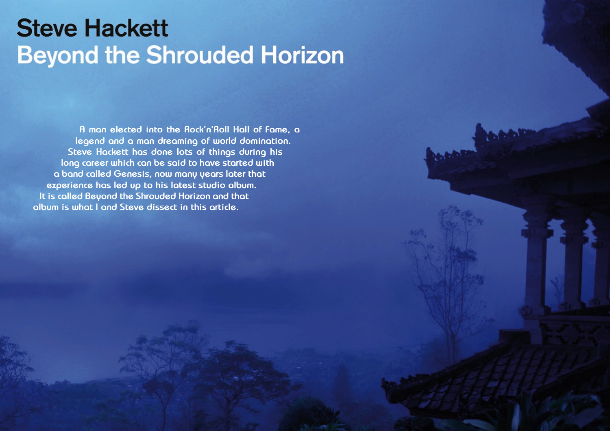# **Steve Hackett Beyond the Shrouded Horizon**

**A man elected into the Rock'n'Roll Hall of Fame, a legend and a man dreaming of world domination. Steve Hackett has done lots of things during his long career which can be said to have started with a band called Genesis, now many years later that experience has led up to his latest studio album. It is called Beyond the Shrouded Horizon and that album is what I and Steve dissect in this article.**

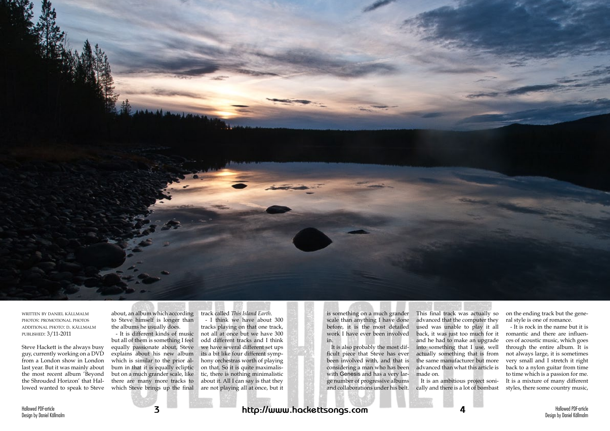



written by daniel källmalm photos: promotional photos additional photo: d. källmalm published: 3/11-2011

Steve Hackett is the always busy guy, currently working on a DVD from a London show in London last year. But it was mainly about the most recent album 'Beyond the Shrouded Horizon' that Hallowed wanted to speak to Steve

about, an album which according to Steve himself is longer than the albums he usually does.

- It is different kinds of music but all of them is something I feel equally passionate about, Steve explains about his new album which is similar to the prior album in that it is equally ecliptic but on a much grander scale, like there are many more tracks to which Steve brings up the final track called *This Island Earth*.

- I think we have about 300 tracks playing on that one track, not all at once but we have 300 odd different tracks and I think we have several different set ups its a bit like four different symphony orchestras worth of playing on that. So it is quite maximalistic, there is nothing minimalistic about it. All I can say is that they are not playing all at once, but it

is something on a much grander scale than anything I have done before, it is the most detailed work I have ever been involved in.

It is also probably the most difficult piece that Steve has ever been involved with, and that is considering a man who has been with Genesis and has a very large number of progressive albums and collaborations under his belt.

This final track was actually so advanced that the computer they used was unable to play it all back, it was just too much for it and he had to make an upgrade into something that I use, well actually something that is from the same manufacturer but more advanced than what this article is made on.

It is an ambitious project sonically and there is a lot of bombast

on the ending track but the general style is one of romance.

- It is rock in the name but it is romantic and there are influences of acoustic music, which goes through the entire album. It is not always large, it is sometimes very small and I stretch it right back to a nylon guitar from time to time which is a passion for me. It is a mixture of many different styles, there some country music,

# **3 http://www.hackettsongs.com 4**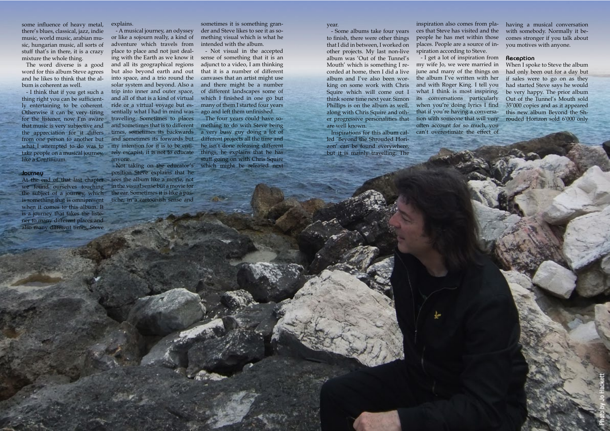Hallowed PDF-article Design by Daniel Källmalm

Hallowed PDF-article Design by Daniel Källmalm

some influence of heavy metal, there's blues, classical, jazz, indie music, world music, arabian music, hungarian music, all sorts of stuff that's in there, it is a crazy mixture the whole thing.

The word diverse is a good word for this album Steve agrees and he likes to think that the album is coherent as well.

- I think that if you get such a thing right you can be sufficiently entertaining to be coherent. Otherwise it can be very tiring for the listener, now I'm aware that music is very subjective and the appreciation for it differs from one person to another but what I attempted to do was to take people on a musical journey, like a Continuum.

#### **Journey**

At the end of that last chapter we found ourselves touching the subject of a journey, which is something that is omnipresent when it comes to this album. It is a journey that takes the listener to many different places and also many different times, Steve

explains.

- A musical journey, an odyssey or like a sojourn really, a kind of adventure which travels from place to place and not just dealing with the Earth as we know it and all its geographical regions but also beyond earth and out into space, and a trio round the solar system and beyond. Also a trip into inner and outer space, and all of that is a kind of virtual ride or a virtual voyage but essentially what I had in mind was travelling. Sometimes to places and sometimes that is to different times, sometimes its backwards and sometimes its forwards but my intention for it is to be entirely escapist, it is not to educate anyone.

Not taking on the educator's position Steve explains that he sees the album like a movie, not in the visual sense but a movie for the ear. Sometimes it is like a pastiche, in a cartoonish sense and

sometimes it is something grander and Steve likes to see it as something visual which is what he intended with the album.

- Not visual in the accepted sense of something that it is an adjunct to a video, I am thinking that it is a number of different canvases that an artist might use and there might be a number of different landscapes some of which I finished in one go but many of them I started four years ago and left them unfinished.

The four years could have something to do with Steve being a very busy guy doing a lot of different projects all the time and he isn't done releasing different things, he explains that he has stuff going on with Chris Squire which might be released next

year.

- Some albums take four years to finish, there were other things that I did in between, I worked on other projects. My last non-live album was 'Out of the Tunnel's Mouth' which is something I recorded at home, then I did a live album and I've also been working on some work with Chris Squire which will come out I think some time next year. Simon Phillips is on the album as well, along with Chris Squire and other progressive personalities that tion with someone that will very are well known.

Inspirations for this album called 'Beyond the Shrouded Horizon' can be found everywhere, but it is mainly travelling. The

inspiration also comes from places that Steve has visited and the people he has met within those places. People are a source of inspiration according to Steve.

- I get a lot of inspiration from my wife Jo, we were married in june and many of the things on the album I've written with her and with Roger King. I tell you what I think is most inspiring, its conversations particularly when you're doing lyrics I find that if you're having a conversaoften account for so much, you can't overestimate the effect of

having a musical conversation with somebody. Normally it becomes stronger if you talk about you motives with anyone.

#### **Reception**

When I spoke to Steve the album had only been out for a day but if sales were to go on as they had started Steve says he would be very happy. The prior album Out of the Tunnel's Mouth sold 35'000 copies and as it appeared this new album Beyond the Shrouded Horizon sold 6'000 only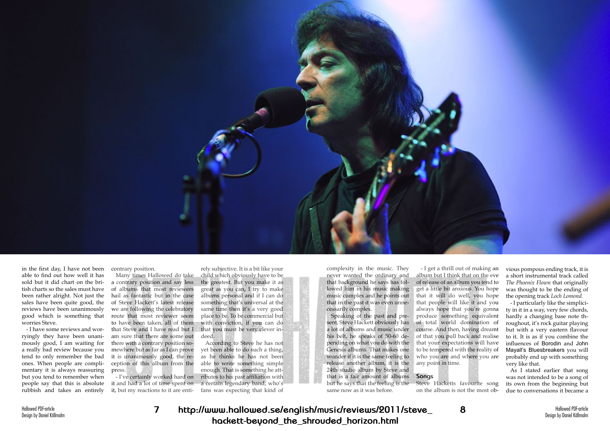Hallowed PDF-article Design by Daniel Källmalm



in the first day, I have not been able to find out how well it has sold but it did chart on the british charts so the sales must have been rather alright. Not just the sales have been quite good, the reviews have been unanimously good which is something that worries Steve.

- I have some reviews and worryingly they have been unanimously good, I am waiting for a really bad review because you tend to only remember the bad ones. When people are complimentary it is always reassuring but you tend to remember when people say that this is absolute rubbish and takes an entirely

contrary position.

Many times Hallowed do take a contrary position and say less of albums that most reviewers hail as fantastic but in the case of Steve Hackett's latest release we are following the celebratory route that most reviewer seem to have been taken, all of them that Steve and I have read but I am sure that there are some out there with a contrary position somewhere but as far as I can prove it is unanimously good, the reception of this album from the press.

- I've certainly worked hard on it and had a lot of time spent on it, but my reactions to it are entirely subjective. It is a bit like your child which obviously have to be the greatest. But you make it as great as you can, I try to make albums personal and if I can do something that's universal at the same time then it's a very good place to be. To be commercial but with conviction, if you can do that you must be very clever indeed.

According to Steve he has not yet been able to do such a thing, as he thinks he has not been able to write something simple enough. That is something he attributes to his past affiliation with a certain legendary band, who's fans was expecting that kind of

complexity in the music. They never wanted the ordinary and that background he says has followed him in his music making music complex and he points out that in the past it was even unne-that people will like it and you cessarily complex.

Speaking of the past and present, Steve Hackett obviously has a lot of albums and music under his belt, he speaks of 50-60 depending on what you do with the Genesis albums. That makes one wonder if it is the same feeling to release another album, it is the 24th studio album by Steve and that is a fair amount of albums but he says that the feeling is the same now as it was before.

- I get a thrill out of making an album but I think that on the eve of release of an album you tend to get a little bit anxious. You hope that it will do well, you hope always hope that you're gonna produce something equivalent of total world domination of course. And then, having dreamt of that you pull back and realise that your expectations will have to be tempered with the reality of who you are and where you are any point in time.

### **Songs**

Steve Hacketts favourite song on the album is not the most ob-

vious pompous ending track, it is a short instrumental track called *The Phoenix Flown* that originally was thought to be the ending of the opening track *Loch Lomond*.

- I particularly like the simplicity in it in a way, very few chords, hardly a changing base note throughout, it's rock guitar playing but with a very eastern flavour to it. It is as if you combine the influences of Borodin and John Mayall's Bluesbreakers you will probably end up with something very like that.

As I stated earlier that song was not intended to be a song of its own from the beginning but due to conversations it became a

**7 http://www.hallowed.se/english/music/reviews/2011/steve\_ 8 hackett-beyond\_the\_shrouded\_horizon.html**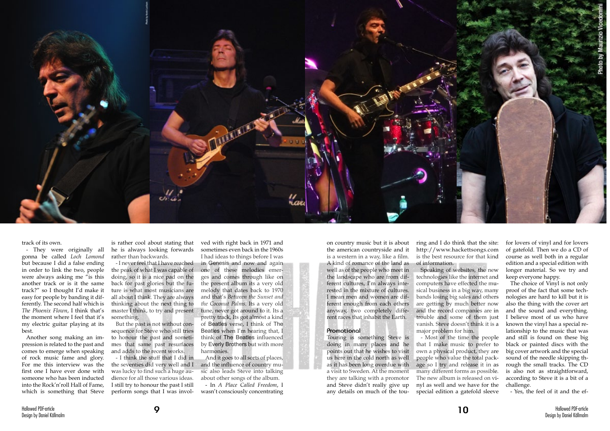

track of its own.

- They were originally all gonna be called *Loch Lomond* but because I did a false ending in order to link the two, people were always asking me "is this another track or is it the same track?" so I thought I'd make it easy for people by banding it differently. The second half which is *The Phoenix Flown*, I think that's the moment where I feel that it's my electric guitar playing at its best.

Another song making an impression is related to the past and comes to emerge when speaking of rock music fame and glory. For me this interview was the first one I have ever done with someone who has been inducted into the Rock'n'roll Hall of Fame, which is something that Steve

is rather cool about stating that he is always looking forwards rather than backwards.

- I never feel that I have reached the peak of what I was capable of doing, so it is a nice pad on the back for past glories but the future is what most musicians are all about I think. They are always thinking about the next thing to master I think, to try and present something.

But the past is not without consequence for Steve who still tries to honour the past and sometimes that same past resurfaces and adds to the recent works.

- I think the stuff that I did in the seventies did very well and I was lucky to find such a huge audience for all those various ideas. I still try to honour the past I still perform songs that I was invol-

ved with right back in 1971 and sometimes even back in the 1960s I had ideas to things before I was in Genesis and now and again one of these melodies emerges and comes through like on the present album its a very old melody that dates back to 1970 and that's *Between the Sunset and the Coconut Palms*. Its a very old tune, never got around to it. Its a pretty track, Its got almost a kind of Beatles verse, I think of The Beatles when I'm hearing that, I think of The Beatles influenced by Everly Brothers but with more harmonies.

And it goes to all sorts of places, and the influence of country music also leads Steve into talking about other songs of the album. - In *A Place Called Freedom*, I wasn't consciously concentrating

on country music but it is about the american countryside and it is a western in a way, like a film. A kind of romance of the land as well as of the people who meet in the landscape who are from different cultures, I'm always interested in the mixture of cultures. I mean men and women are different enough from each others anyway, two completely different races that inhabit the Earth.

#### **Promotional**

Touring is something Steve is doing in many places and he points out that he wishes to visit us here in the cold north as well as it has been long overdue with a visit to Sweden. At the moment they are talking with a promotor and Steve didn't really give up any details on much of the tou-

ring and I do think that the site: http://www.hackettsongs.com is the best resource for that kind of information.

Speaking of websites, the new technologies like the internet and computers have effected the musical business in a big way, many bands losing big sales and others are getting by much better now and the record companies are in trouble and some of them just vanish. Steve doesn't think it is a major problem for him.

- Most of the time the people that I make music to prefer to own a physical product, they are people who value the total package so I try and release it in as many different forms as possible. The new album is released on vinyl as well and we have for the special edition a gatefold sleeve

for lovers of vinyl and for lovers of gatefold. Then we do a CD of course as well both in a regular edition and a special edition with longer material. So we try and keep everyone happy.

The choice of Vinyl is not only proof of the fact that some technologies are hard to kill but it is also the thing with the cover art and the sound and everything. I believe most of us who have known the vinyl has a special relationship to the music that was and still is found on these big black or painted discs with the big cover artwork and the special sound of the needle skipping through the small tracks. The CD is also not as straightforward, according to Steve it is a bit of a challenge.

- Yes, the feel of it and the ef-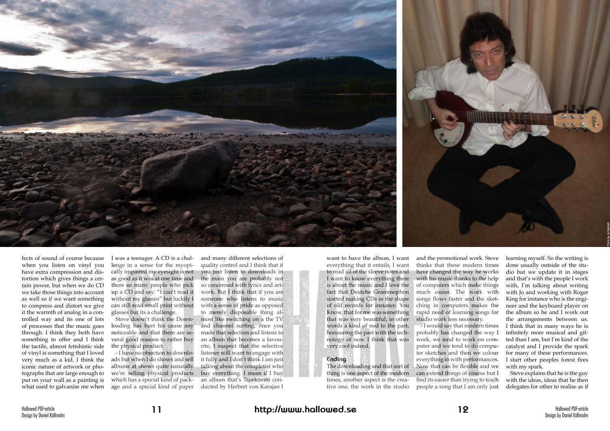fects of sound of course because when you listen on vinyl you have extra compression and distortion which gives things a certain power, but when we do CD we take those things into account as well so if we want something to compress and distort we give it the warmth of analog in a controlled way and its one of lots of processes that the music goes through. I think they both have something to offer and I think the tactile, almost fetishistic side of vinyl is something that I loved very much as a kid. I think the iconic nature of artwork or photographs that are large enough to put on your wall as a painting is what used to galvanise me when

I was a teenager. A CD is a challenge in a sense for the myopically impaired my eyesight is not as good as it was at one time and there so many people who pick up a CD and say: "I can't read it without my glasses" but luckily I can still read small print without glasses but its a challenge.

Steve doesn't think the Downloading has hurt his cause any noticeable and that there are several good reasons to rather buy the physical product.

- I have no objection to downloads but when I do shows and sell albums at shows quite naturally we're selling physical products which has a special kind of package and a special kind of paper

and many different selections of quality control and I think that if you just listen to downloads in the main you are probably not so concerned with lyrics and artwork. But I think that if you are someone who listens to music with a sense of pride as opposed to merely disposable thing almost like switching on a the TV and channel surfing, once you made that selection and listens to an album that becomes a favourite, I suspect that the selective listener will want to engage with it fully and I don't think I am just talking about the completist who buy everything. I mean if I buy an album that's Tsjaikovski conducted by Herbert von Karajan I

want to have the album, I want everything that it entails, I want to read all of the sleeve notes and I want to know everything there is about the music and I love the fact that Deutche Grammophon started making CDs in the shape of old records for instance. You Know, that for me was something that was very beautiful, in other words a kind of nod to the past, honouring the past with the technology of now I think that was very cool indeed.

# **Ending**

The downloading and that sort of thing is one aspect of the modern times, another aspect is the creative one, the work in the studio



and the promotional work. Steve thinks that these modern times have changed the way he works with his music thanks to the help of computers which make things much easier. The work with songs flows faster and the sketching in computers makes the rapid need of learning songs for studio work less necessary.

- I would say that modern times probably has changed the way I work, we tend to work on computer and we tend to do computer sketches and then we colour everything in with performances. Now that can be flexible and we can extend things of course but I find its easier than trying to teach people a song that I am only just learning myself. So the writing is done usually outside of the studio but we update it in stages and that's with the people I work with, I'm talking about writing with Jo and working with Roger King for instance who is the engineer and the keyboard player on the album so he and I work out the arrangements between us. I think that in many ways he is infinitely more musical and gifted than I am, but I'm kind of the catalyst and I provide the spark for many of these performances. I start other peoples forest fires with my spark.

Steve explains that he is the guy with the ideas, ideas that he then delegates for other to realise as if